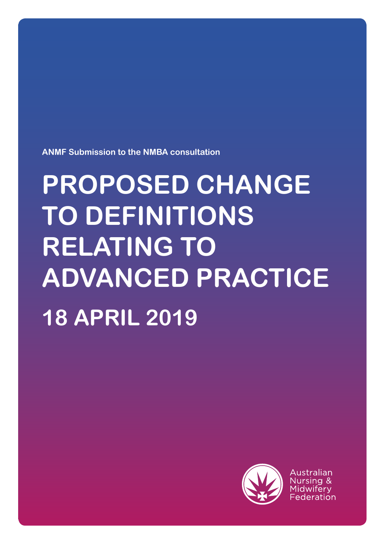**ANMF Submission to the NMBA consultation**

# **PROPOSED CHANGE TO DEFINITIONS RELATING TO ADVANCED PRACTICE 18 APRIL 2019**



Australian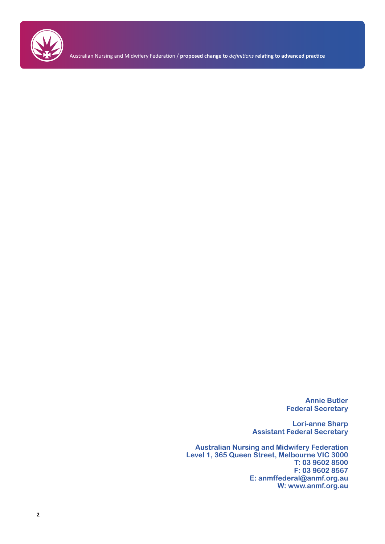

Australian Nursing and Midwifery Federation / **proposed change to** *definitions* **relating to advanced practice**

**Annie Butler Federal Secretary**

**Lori-anne Sharp Assistant Federal Secretary**

**Australian Nursing and Midwifery Federation Level 1, 365 Queen Street, Melbourne VIC 3000 T: 03 9602 8500 F: 03 9602 8567 E: anmffederal@anmf.org.au W: www.anmf.org.au**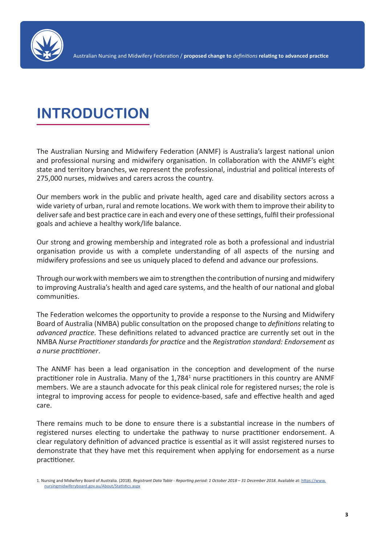

## **INTRODUCTION**

The Australian Nursing and Midwifery Federation (ANMF) is Australia's largest national union and professional nursing and midwifery organisation. In collaboration with the ANMF's eight state and territory branches, we represent the professional, industrial and political interests of 275,000 nurses, midwives and carers across the country.

Our members work in the public and private health, aged care and disability sectors across a wide variety of urban, rural and remote locations. We work with them to improve their ability to deliver safe and best practice care in each and every one of these settings, fulfil their professional goals and achieve a healthy work/life balance.

Our strong and growing membership and integrated role as both a professional and industrial organisation provide us with a complete understanding of all aspects of the nursing and midwifery professions and see us uniquely placed to defend and advance our professions.

Through our work with members we aim to strengthen the contribution of nursing and midwifery to improving Australia's health and aged care systems, and the health of our national and global communities.

The Federation welcomes the opportunity to provide a response to the Nursing and Midwifery Board of Australia (NMBA) public consultation on the proposed change to *definitions* relating to *advanced practice*. These definitions related to advanced practice are currently set out in the NMBA *Nurse Practitioner standards for practice* and the *Registration standard: Endorsement as a nurse practitioner*.

The ANMF has been a lead organisation in the conception and development of the nurse practitioner role in Australia. Many of the 1,784<sup>1</sup> nurse practitioners in this country are ANMF members. We are a staunch advocate for this peak clinical role for registered nurses; the role is integral to improving access for people to evidence-based, safe and effective health and aged care.

There remains much to be done to ensure there is a substantial increase in the numbers of registered nurses electing to undertake the pathway to nurse practitioner endorsement. A clear regulatory definition of advanced practice is essential as it will assist registered nurses to demonstrate that they have met this requirement when applying for endorsement as a nurse practitioner.

<sup>1.</sup> Nursing and Midwifery Board of Australia. (2018). *Registrant Data Table - Reporting period: 1 October 2018 – 31 December 2018*. Available at: [https://www.](https://www.nursingmidwiferyboard.gov.au/About/Statistics.aspx ) [nursingmidwiferyboard.gov.au/About/Statistics.aspx](https://www.nursingmidwiferyboard.gov.au/About/Statistics.aspx )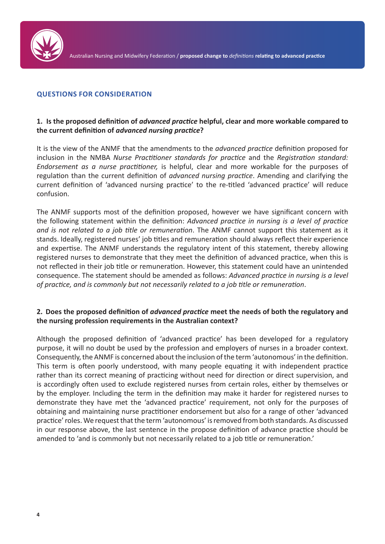

#### **QUESTIONS FOR CONSIDERATION**

#### **1. Is the proposed definition of** *advanced practice* **helpful, clear and more workable compared to the current definition of** *advanced nursing practice***?**

It is the view of the ANMF that the amendments to the *advanced practice* definition proposed for inclusion in the NMBA *Nurse Practitioner standards for practice* and the *Registration standard: Endorsement as a nurse practitioner,* is helpful, clear and more workable for the purposes of regulation than the current definition of *advanced nursing practice*. Amending and clarifying the current definition of 'advanced nursing practice' to the re-titled 'advanced practice' will reduce confusion.

The ANMF supports most of the definition proposed, however we have significant concern with the following statement within the definition: *Advanced practice in nursing is a level of practice and is not related to a job title or remuneration*. The ANMF cannot support this statement as it stands. Ideally, registered nurses' job titles and remuneration should always reflect their experience and expertise. The ANMF understands the regulatory intent of this statement, thereby allowing registered nurses to demonstrate that they meet the definition of advanced practice, when this is not reflected in their job title or remuneration. However, this statement could have an unintended consequence. The statement should be amended as follows: *Advanced practice in nursing is a level of practice, and is commonly but not necessarily related to a job title or remuneration*.

#### **2. Does the proposed definition of** *advanced practice* **meet the needs of both the regulatory and the nursing profession requirements in the Australian context?**

Although the proposed definition of 'advanced practice' has been developed for a regulatory purpose, it will no doubt be used by the profession and employers of nurses in a broader context. Consequently, the ANMF is concerned about the inclusion of the term 'autonomous' in the definition. This term is often poorly understood, with many people equating it with independent practice rather than its correct meaning of practicing without need for direction or direct supervision, and is accordingly often used to exclude registered nurses from certain roles, either by themselves or by the employer. Including the term in the definition may make it harder for registered nurses to demonstrate they have met the 'advanced practice' requirement, not only for the purposes of obtaining and maintaining nurse practitioner endorsement but also for a range of other 'advanced practice' roles. We request that the term 'autonomous' is removed from both standards. As discussed in our response above, the last sentence in the propose definition of advance practice should be amended to 'and is commonly but not necessarily related to a job title or remuneration.'